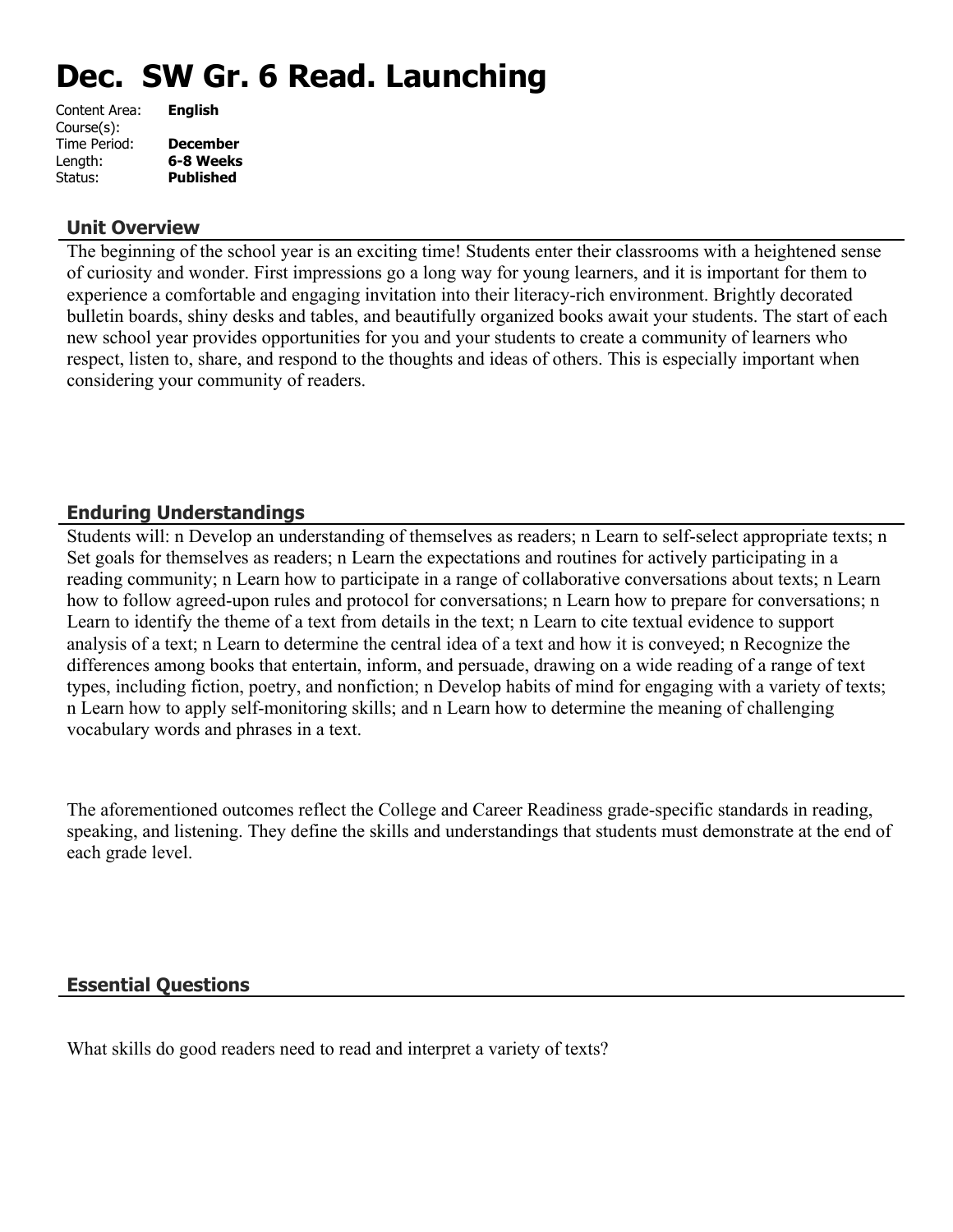# **Dec. SW Gr. 6 Read. Launching**

| Content Area: | <b>English</b>   |
|---------------|------------------|
| Course(s):    |                  |
| Time Period:  | <b>December</b>  |
| Length:       | 6-8 Weeks        |
| Status:       | <b>Published</b> |
|               |                  |

#### **Unit Overview**

The beginning of the school year is an exciting time! Students enter their classrooms with a heightened sense of curiosity and wonder. First impressions go a long way for young learners, and it is important for them to experience a comfortable and engaging invitation into their literacy-rich environment. Brightly decorated bulletin boards, shiny desks and tables, and beautifully organized books await your students. The start of each new school year provides opportunities for you and your students to create a community of learners who respect, listen to, share, and respond to the thoughts and ideas of others. This is especially important when considering your community of readers.

## **Enduring Understandings**

Students will: n Develop an understanding of themselves as readers; n Learn to self-select appropriate texts; n Set goals for themselves as readers; n Learn the expectations and routines for actively participating in a reading community; n Learn how to participate in a range of collaborative conversations about texts; n Learn how to follow agreed-upon rules and protocol for conversations; n Learn how to prepare for conversations; n Learn to identify the theme of a text from details in the text; n Learn to cite textual evidence to support analysis of a text; n Learn to determine the central idea of a text and how it is conveyed; n Recognize the differences among books that entertain, inform, and persuade, drawing on a wide reading of a range of text types, including fiction, poetry, and nonfiction; n Develop habits of mind for engaging with a variety of texts; n Learn how to apply self-monitoring skills; and n Learn how to determine the meaning of challenging vocabulary words and phrases in a text.

The aforementioned outcomes reflect the College and Career Readiness grade-specific standards in reading, speaking, and listening. They define the skills and understandings that students must demonstrate at the end of each grade level.

#### **Essential Questions**

What skills do good readers need to read and interpret a variety of texts?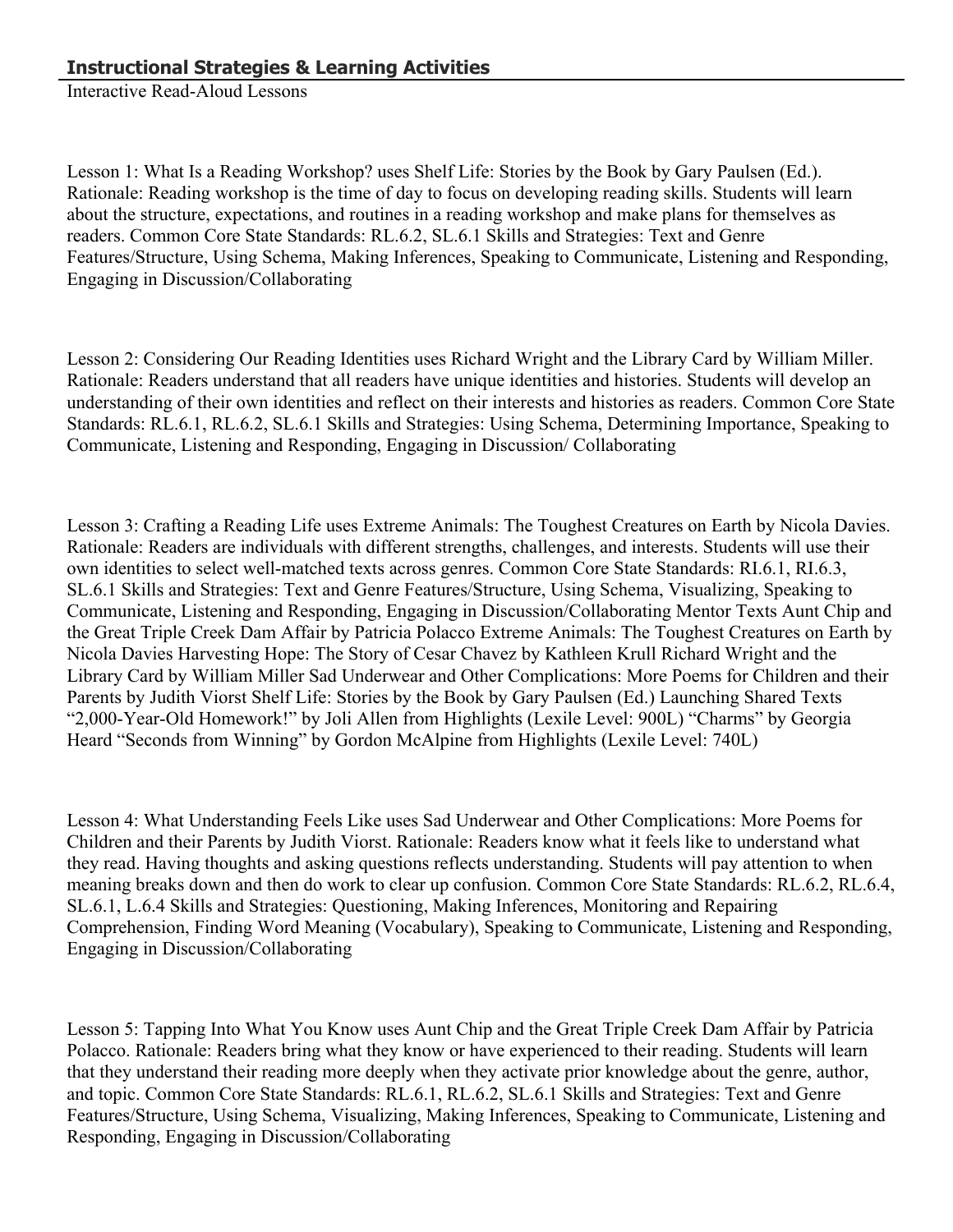Interactive Read-Aloud Lessons

Lesson 1: What Is a Reading Workshop? uses Shelf Life: Stories by the Book by Gary Paulsen (Ed.). Rationale: Reading workshop is the time of day to focus on developing reading skills. Students will learn about the structure, expectations, and routines in a reading workshop and make plans for themselves as readers. Common Core State Standards: RL.6.2, SL.6.1 Skills and Strategies: Text and Genre Features/Structure, Using Schema, Making Inferences, Speaking to Communicate, Listening and Responding, Engaging in Discussion/Collaborating

Lesson 2: Considering Our Reading Identities uses Richard Wright and the Library Card by William Miller. Rationale: Readers understand that all readers have unique identities and histories. Students will develop an understanding of their own identities and reflect on their interests and histories as readers. Common Core State Standards: RL.6.1, RL.6.2, SL.6.1 Skills and Strategies: Using Schema, Determining Importance, Speaking to Communicate, Listening and Responding, Engaging in Discussion/ Collaborating

Lesson 3: Crafting a Reading Life uses Extreme Animals: The Toughest Creatures on Earth by Nicola Davies. Rationale: Readers are individuals with different strengths, challenges, and interests. Students will use their own identities to select well-matched texts across genres. Common Core State Standards: RI.6.1, RI.6.3, SL.6.1 Skills and Strategies: Text and Genre Features/Structure, Using Schema, Visualizing, Speaking to Communicate, Listening and Responding, Engaging in Discussion/Collaborating Mentor Texts Aunt Chip and the Great Triple Creek Dam Affair by Patricia Polacco Extreme Animals: The Toughest Creatures on Earth by Nicola Davies Harvesting Hope: The Story of Cesar Chavez by Kathleen Krull Richard Wright and the Library Card by William Miller Sad Underwear and Other Complications: More Poems for Children and their Parents by Judith Viorst Shelf Life: Stories by the Book by Gary Paulsen (Ed.) Launching Shared Texts "2,000-Year-Old Homework!" by Joli Allen from Highlights (Lexile Level: 900L) "Charms" by Georgia Heard "Seconds from Winning" by Gordon McAlpine from Highlights (Lexile Level: 740L)

Lesson 4: What Understanding Feels Like uses Sad Underwear and Other Complications: More Poems for Children and their Parents by Judith Viorst. Rationale: Readers know what it feels like to understand what they read. Having thoughts and asking questions reflects understanding. Students will pay attention to when meaning breaks down and then do work to clear up confusion. Common Core State Standards: RL.6.2, RL.6.4, SL.6.1, L.6.4 Skills and Strategies: Questioning, Making Inferences, Monitoring and Repairing Comprehension, Finding Word Meaning (Vocabulary), Speaking to Communicate, Listening and Responding, Engaging in Discussion/Collaborating

Lesson 5: Tapping Into What You Know uses Aunt Chip and the Great Triple Creek Dam Affair by Patricia Polacco. Rationale: Readers bring what they know or have experienced to their reading. Students will learn that they understand their reading more deeply when they activate prior knowledge about the genre, author, and topic. Common Core State Standards: RL.6.1, RL.6.2, SL.6.1 Skills and Strategies: Text and Genre Features/Structure, Using Schema, Visualizing, Making Inferences, Speaking to Communicate, Listening and Responding, Engaging in Discussion/Collaborating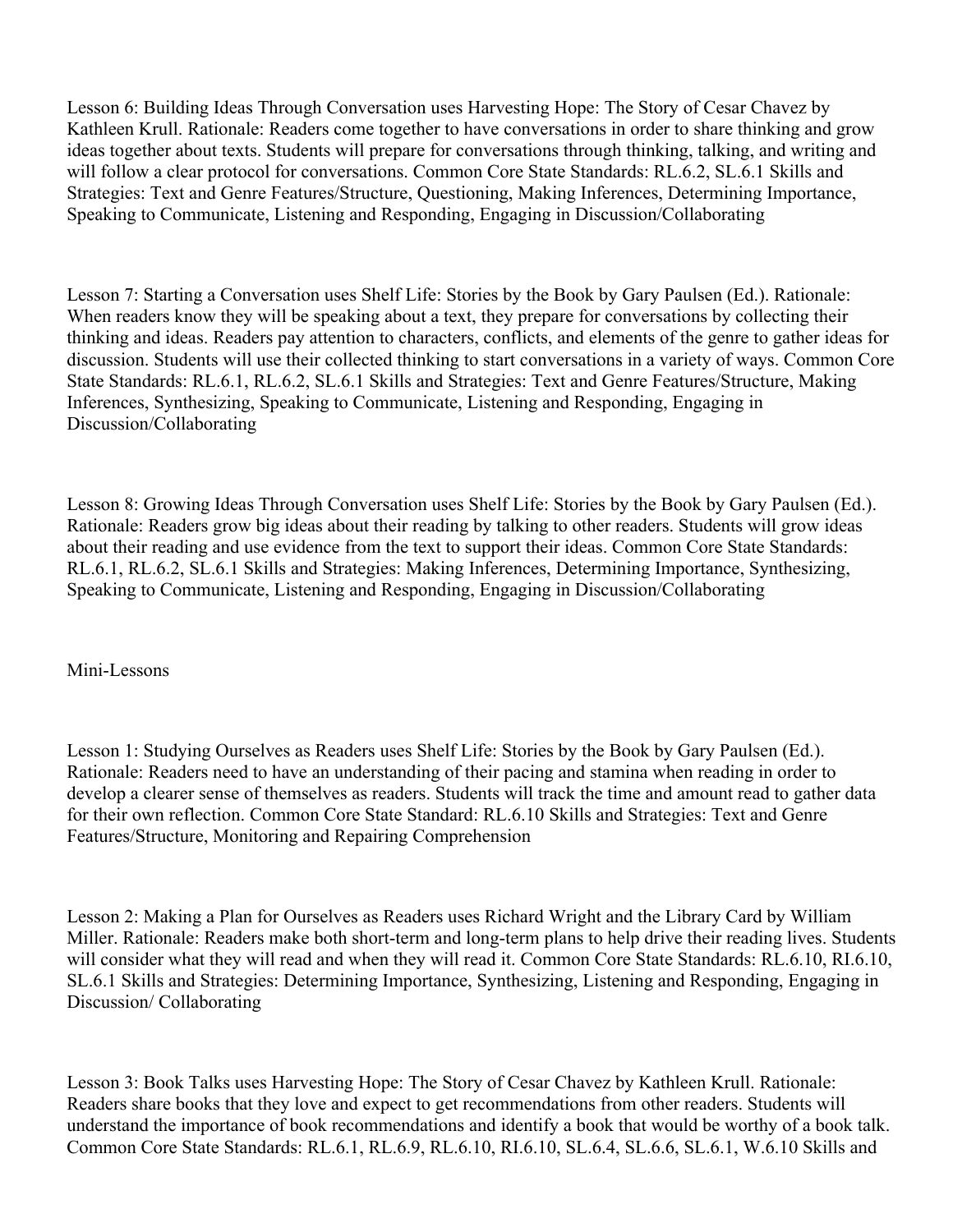Lesson 6: Building Ideas Through Conversation uses Harvesting Hope: The Story of Cesar Chavez by Kathleen Krull. Rationale: Readers come together to have conversations in order to share thinking and grow ideas together about texts. Students will prepare for conversations through thinking, talking, and writing and will follow a clear protocol for conversations. Common Core State Standards: RL.6.2, SL.6.1 Skills and Strategies: Text and Genre Features/Structure, Questioning, Making Inferences, Determining Importance, Speaking to Communicate, Listening and Responding, Engaging in Discussion/Collaborating

Lesson 7: Starting a Conversation uses Shelf Life: Stories by the Book by Gary Paulsen (Ed.). Rationale: When readers know they will be speaking about a text, they prepare for conversations by collecting their thinking and ideas. Readers pay attention to characters, conflicts, and elements of the genre to gather ideas for discussion. Students will use their collected thinking to start conversations in a variety of ways. Common Core State Standards: RL.6.1, RL.6.2, SL.6.1 Skills and Strategies: Text and Genre Features/Structure, Making Inferences, Synthesizing, Speaking to Communicate, Listening and Responding, Engaging in Discussion/Collaborating

Lesson 8: Growing Ideas Through Conversation uses Shelf Life: Stories by the Book by Gary Paulsen (Ed.). Rationale: Readers grow big ideas about their reading by talking to other readers. Students will grow ideas about their reading and use evidence from the text to support their ideas. Common Core State Standards: RL.6.1, RL.6.2, SL.6.1 Skills and Strategies: Making Inferences, Determining Importance, Synthesizing, Speaking to Communicate, Listening and Responding, Engaging in Discussion/Collaborating

Mini-Lessons

Lesson 1: Studying Ourselves as Readers uses Shelf Life: Stories by the Book by Gary Paulsen (Ed.). Rationale: Readers need to have an understanding of their pacing and stamina when reading in order to develop a clearer sense of themselves as readers. Students will track the time and amount read to gather data for their own reflection. Common Core State Standard: RL.6.10 Skills and Strategies: Text and Genre Features/Structure, Monitoring and Repairing Comprehension

Lesson 2: Making a Plan for Ourselves as Readers uses Richard Wright and the Library Card by William Miller. Rationale: Readers make both short-term and long-term plans to help drive their reading lives. Students will consider what they will read and when they will read it. Common Core State Standards: RL.6.10, RI.6.10, SL.6.1 Skills and Strategies: Determining Importance, Synthesizing, Listening and Responding, Engaging in Discussion/ Collaborating

Lesson 3: Book Talks uses Harvesting Hope: The Story of Cesar Chavez by Kathleen Krull. Rationale: Readers share books that they love and expect to get recommendations from other readers. Students will understand the importance of book recommendations and identify a book that would be worthy of a book talk. Common Core State Standards: RL.6.1, RL.6.9, RL.6.10, RI.6.10, SL.6.4, SL.6.6, SL.6.1, W.6.10 Skills and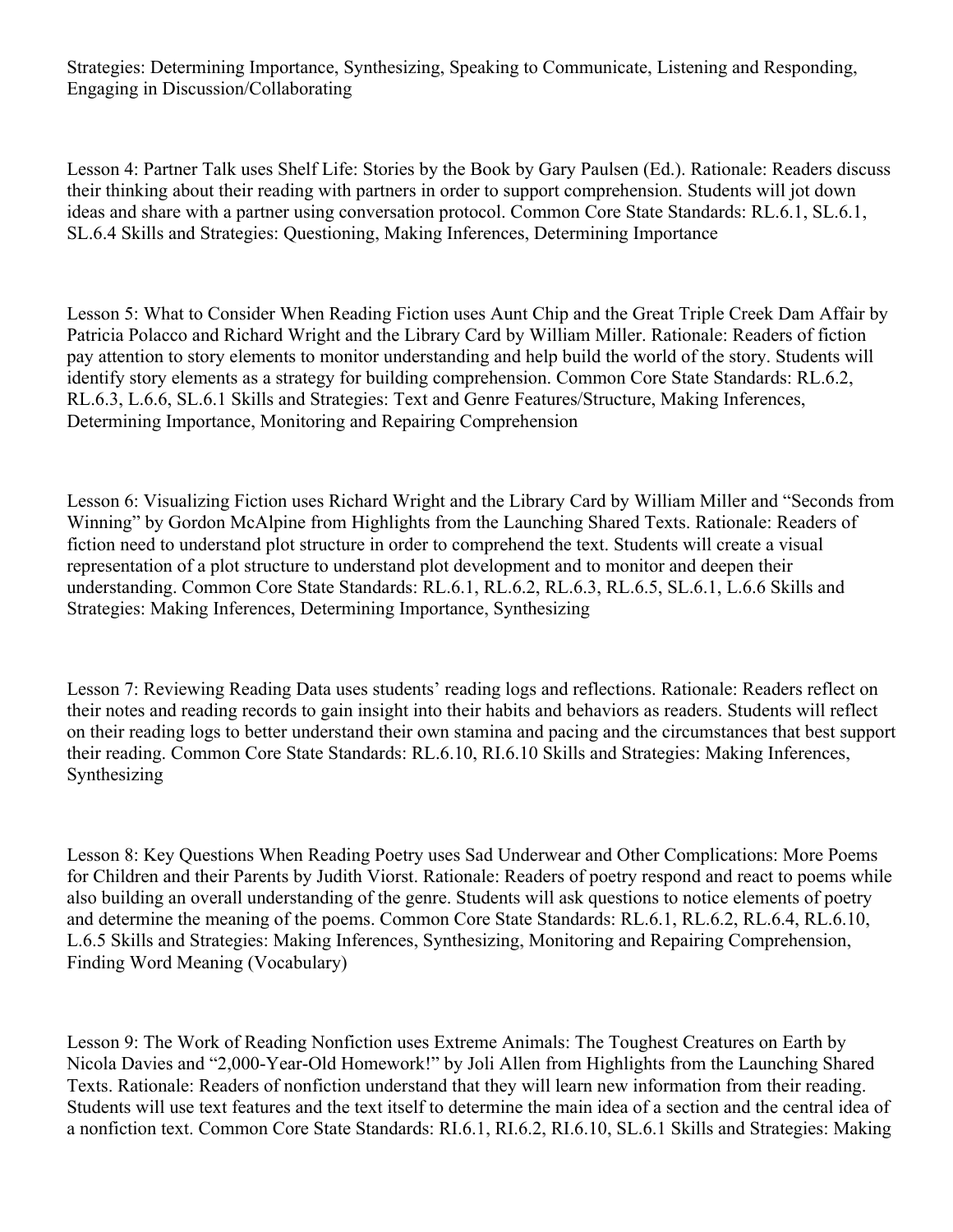Lesson 4: Partner Talk uses Shelf Life: Stories by the Book by Gary Paulsen (Ed.). Rationale: Readers discuss their thinking about their reading with partners in order to support comprehension. Students will jot down ideas and share with a partner using conversation protocol. Common Core State Standards: RL.6.1, SL.6.1, SL.6.4 Skills and Strategies: Questioning, Making Inferences, Determining Importance

Lesson 5: What to Consider When Reading Fiction uses Aunt Chip and the Great Triple Creek Dam Affair by Patricia Polacco and Richard Wright and the Library Card by William Miller. Rationale: Readers of fiction pay attention to story elements to monitor understanding and help build the world of the story. Students will identify story elements as a strategy for building comprehension. Common Core State Standards: RL.6.2, RL.6.3, L.6.6, SL.6.1 Skills and Strategies: Text and Genre Features/Structure, Making Inferences, Determining Importance, Monitoring and Repairing Comprehension

Lesson 6: Visualizing Fiction uses Richard Wright and the Library Card by William Miller and "Seconds from Winning" by Gordon McAlpine from Highlights from the Launching Shared Texts. Rationale: Readers of fiction need to understand plot structure in order to comprehend the text. Students will create a visual representation of a plot structure to understand plot development and to monitor and deepen their understanding. Common Core State Standards: RL.6.1, RL.6.2, RL.6.3, RL.6.5, SL.6.1, L.6.6 Skills and Strategies: Making Inferences, Determining Importance, Synthesizing

Lesson 7: Reviewing Reading Data uses students' reading logs and reflections. Rationale: Readers reflect on their notes and reading records to gain insight into their habits and behaviors as readers. Students will reflect on their reading logs to better understand their own stamina and pacing and the circumstances that best support their reading. Common Core State Standards: RL.6.10, RI.6.10 Skills and Strategies: Making Inferences, Synthesizing

Lesson 8: Key Questions When Reading Poetry uses Sad Underwear and Other Complications: More Poems for Children and their Parents by Judith Viorst. Rationale: Readers of poetry respond and react to poems while also building an overall understanding of the genre. Students will ask questions to notice elements of poetry and determine the meaning of the poems. Common Core State Standards: RL.6.1, RL.6.2, RL.6.4, RL.6.10, L.6.5 Skills and Strategies: Making Inferences, Synthesizing, Monitoring and Repairing Comprehension, Finding Word Meaning (Vocabulary)

Lesson 9: The Work of Reading Nonfiction uses Extreme Animals: The Toughest Creatures on Earth by Nicola Davies and "2,000-Year-Old Homework!" by Joli Allen from Highlights from the Launching Shared Texts. Rationale: Readers of nonfiction understand that they will learn new information from their reading. Students will use text features and the text itself to determine the main idea of a section and the central idea of a nonfiction text. Common Core State Standards: RI.6.1, RI.6.2, RI.6.10, SL.6.1 Skills and Strategies: Making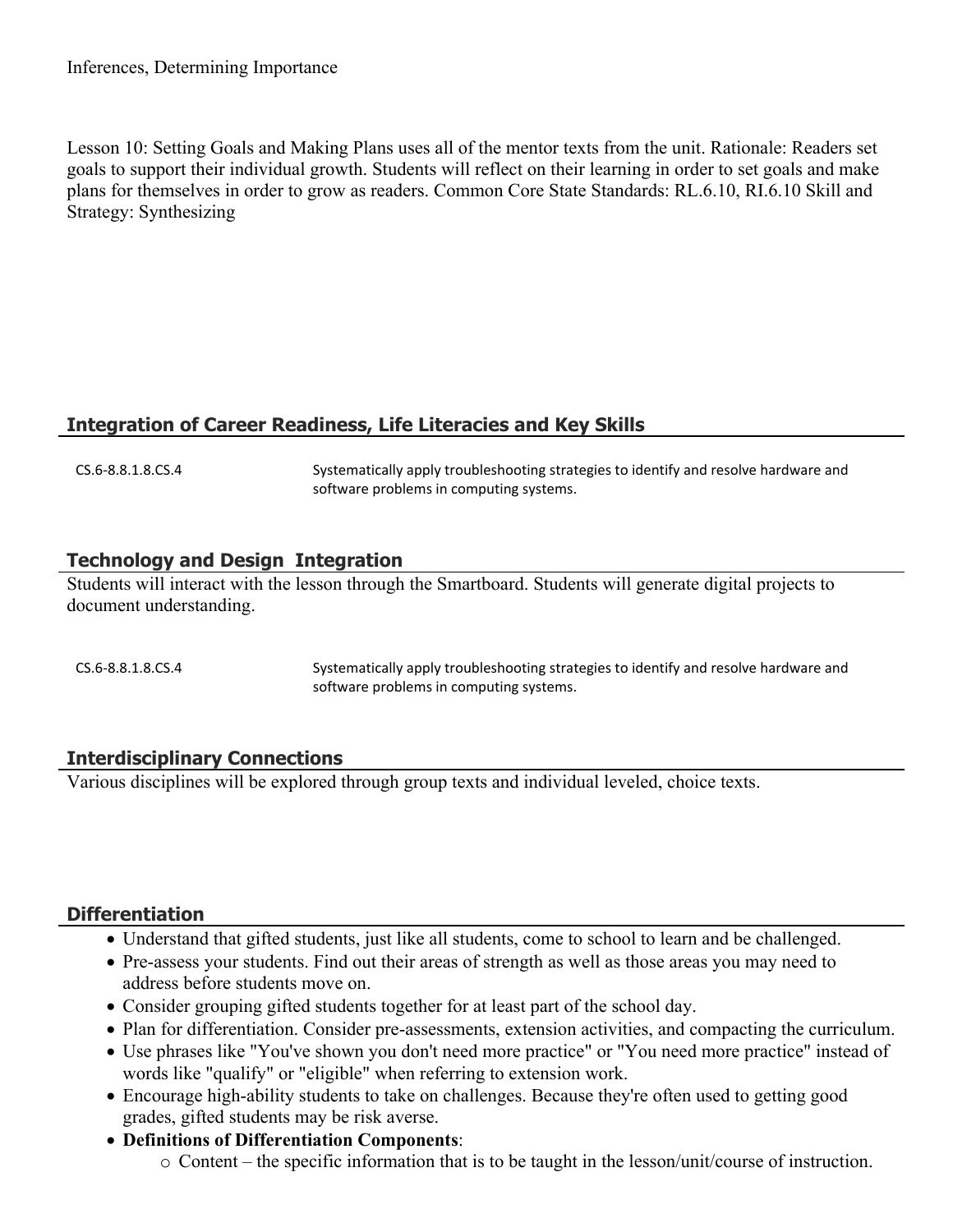Lesson 10: Setting Goals and Making Plans uses all of the mentor texts from the unit. Rationale: Readers set goals to support their individual growth. Students will reflect on their learning in order to set goals and make plans for themselves in order to grow as readers. Common Core State Standards: RL.6.10, RI.6.10 Skill and Strategy: Synthesizing

## **Integration of Career Readiness, Life Literacies and Key Skills**

CS.6-8.8.1.8.CS.4 Systematically apply troubleshooting strategies to identify and resolve hardware and software problems in computing systems.

#### **Technology and Design Integration**

Students will interact with the lesson through the Smartboard. Students will generate digital projects to document understanding.

CS.6-8.8.1.8.CS.4 Systematically apply troubleshooting strategies to identify and resolve hardware and software problems in computing systems.

#### **Interdisciplinary Connections**

Various disciplines will be explored through group texts and individual leveled, choice texts.

## **Differentiation**

- Understand that gifted students, just like all students, come to school to learn and be challenged.
- Pre-assess your students. Find out their areas of strength as well as those areas you may need to address before students move on.
- Consider grouping gifted students together for at least part of the school day.
- Plan for differentiation. Consider pre-assessments, extension activities, and compacting the curriculum.
- Use phrases like "You've shown you don't need more practice" or "You need more practice" instead of words like "qualify" or "eligible" when referring to extension work.
- Encourage high-ability students to take on challenges. Because they're often used to getting good grades, gifted students may be risk averse.
- **Definitions of Differentiation Components**:
	- o Content the specific information that is to be taught in the lesson/unit/course of instruction.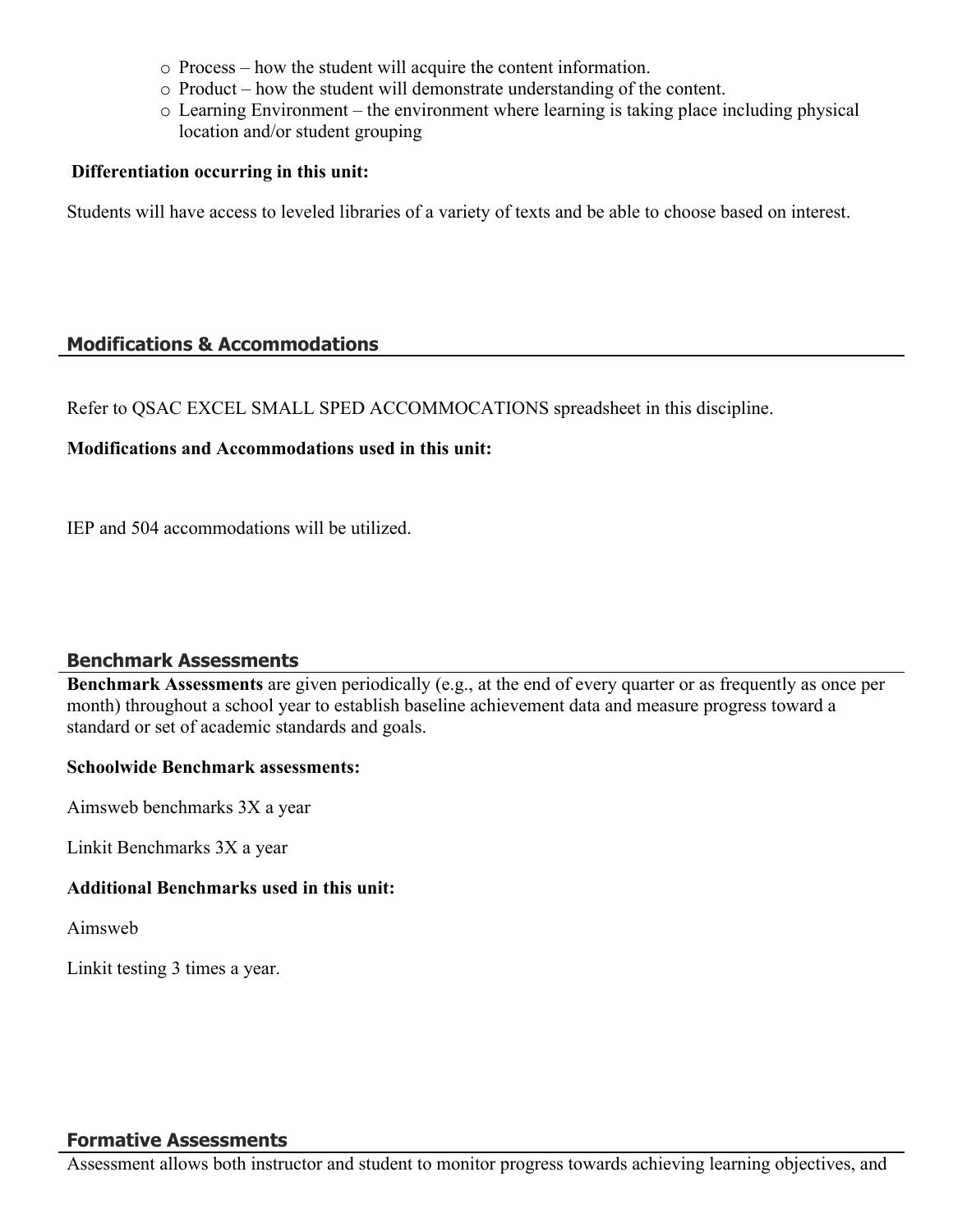- o Process how the student will acquire the content information.
- o Product how the student will demonstrate understanding of the content.
- o Learning Environment the environment where learning is taking place including physical location and/or student grouping

#### **Differentiation occurring in this unit:**

Students will have access to leveled libraries of a variety of texts and be able to choose based on interest.

#### **Modifications & Accommodations**

Refer to QSAC EXCEL SMALL SPED ACCOMMOCATIONS spreadsheet in this discipline.

#### **Modifications and Accommodations used in this unit:**

IEP and 504 accommodations will be utilized.

#### **Benchmark Assessments**

**Benchmark Assessments** are given periodically (e.g., at the end of every quarter or as frequently as once per month) throughout a school year to establish baseline achievement data and measure progress toward a standard or set of academic standards and goals.

#### **Schoolwide Benchmark assessments:**

Aimsweb benchmarks 3X a year

Linkit Benchmarks 3X a year

#### **Additional Benchmarks used in this unit:**

Aimsweb

Linkit testing 3 times a year.

#### **Formative Assessments**

Assessment allows both instructor and student to monitor progress towards achieving learning objectives, and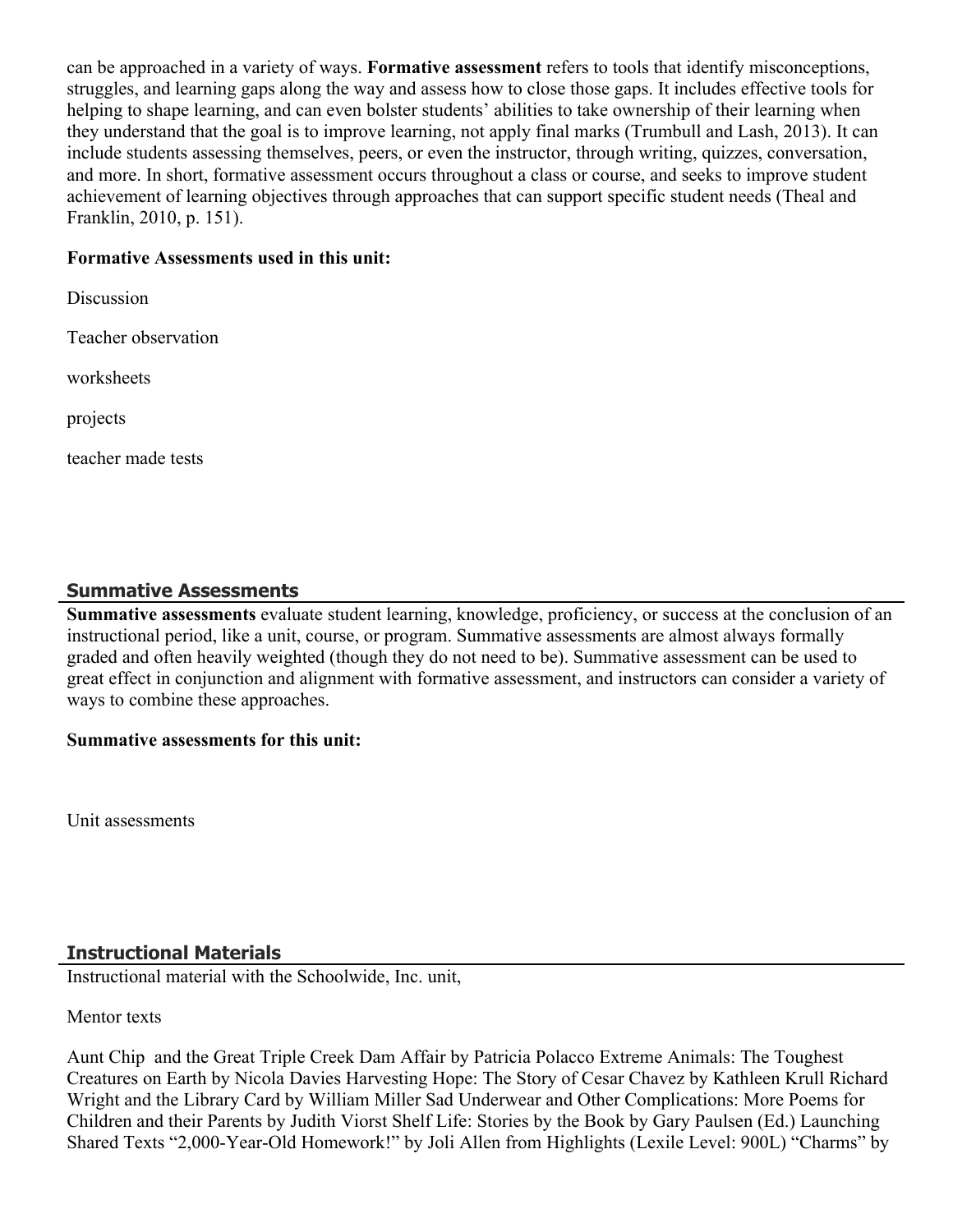can be approached in a variety of ways. **Formative assessment** refers to tools that identify misconceptions, struggles, and learning gaps along the way and assess how to close those gaps. It includes effective tools for helping to shape learning, and can even bolster students' abilities to take ownership of their learning when they understand that the goal is to improve learning, not apply final marks (Trumbull and Lash, 2013). It can include students assessing themselves, peers, or even the instructor, through writing, quizzes, conversation, and more. In short, formative assessment occurs throughout a class or course, and seeks to improve student achievement of learning objectives through approaches that can support specific student needs (Theal and Franklin, 2010, p. 151).

#### **Formative Assessments used in this unit:**

Discussion Teacher observation worksheets

projects

teacher made tests

# **Summative Assessments**

Summative assessments evaluate student learning, knowledge, proficiency, or success at the conclusion of an instructional period, like a unit, course, or program. Summative assessments are almost always formally graded and often heavily weighted (though they do not need to be). Summative assessment can be used to great effect in conjunction and alignment with formative assessment, and instructors can consider a variety of ways to combine these approaches.

#### **Summative assessments for this unit:**

Unit assessments

# **Instructional Materials**

Instructional material with the Schoolwide, Inc. unit,

Mentor texts

Aunt Chip and the Great Triple Creek Dam Affair by Patricia Polacco Extreme Animals: The Toughest Creatures on Earth by Nicola Davies Harvesting Hope: The Story of Cesar Chavez by Kathleen Krull Richard Wright and the Library Card by William Miller Sad Underwear and Other Complications: More Poems for Children and their Parents by Judith Viorst Shelf Life: Stories by the Book by Gary Paulsen (Ed.) Launching Shared Texts "2,000-Year-Old Homework!" by Joli Allen from Highlights (Lexile Level: 900L) "Charms" by